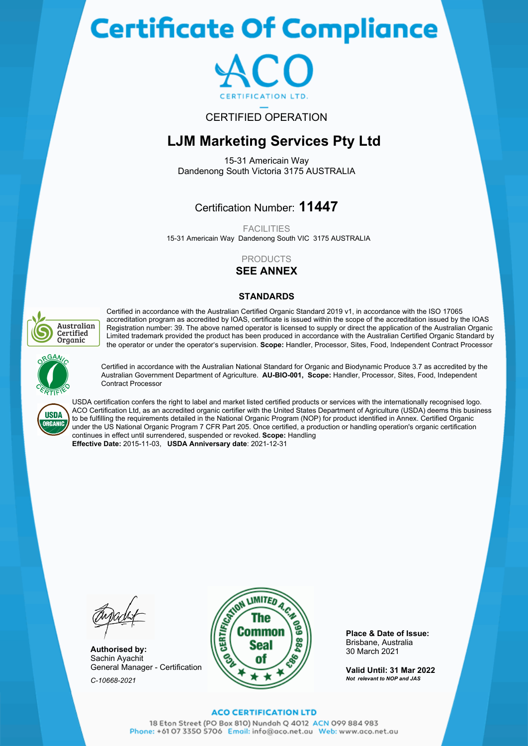# **Certificate Of Compliance**



## CERTIFIED OPERATION

## **LJM Marketing Services Pty Ltd**

15-31 Americain Way Dandenong South Victoria 3175 AUSTRALIA

## Certification Number: **11447**

**FACILITIES** 

15-31 Americain Way Dandenong South VIC 3175 AUSTRALIA

## PRODUCTS

**SEE ANNEX**

### **STANDARDS**



Certified in accordance with the Australian Certified Organic Standard 2019 v1, in accordance with the ISO 17065 accreditation program as accredited by IOAS, certificate is issued within the scope of the accreditation issued by the IOAS Registration number: 39. The above named operator is licensed to supply or direct the application of the Australian Organic Limited trademark provided the product has been produced in accordance with the Australian Certified Organic Standard by the operator or under the operator's supervision. **Scope:** Handler, Processor, Sites, Food, Independent Contract Processor



Certified in accordance with the Australian National Standard for Organic and Biodynamic Produce 3.7 as accredited by the Australian Government Department of Agriculture. **AU-BIO-001, Scope:** Handler, Processor, Sites, Food, Independent Contract Processor



USDA certification confers the right to label and market listed certified products or services with the internationally recognised logo. ACO Certification Ltd, as an accredited organic certifier with the United States Department of Agriculture (USDA) deems this business to be fulfilling the requirements detailed in the National Organic Program (NOP) for product identified in Annex. Certified Organic under the US National Organic Program 7 CFR Part 205. Once certified, a production or handling operation's organic certification continues in effect until surrendered, suspended or revoked. **Scope:** Handling **Effective Date:** 2015-11-03, **USDA Anniversary date**: 2021-12-31

**Authorised by:** Sachin Ayachit General Manager - Certification *C-10668-2021*



**Place & Date of Issue:** Brisbane, Australia 30 March 2021

**Valid Until: 31 Mar 2022** *Not relevant to NOP and JAS*

#### **ACO CERTIFICATION LTD**

18 Eton Street (PO Box 810) Nundah Q 4012 ACN 099 884 983 Phone: +61 07 3350 5706 Email: info@aco.net.au Web: www.aco.net.au